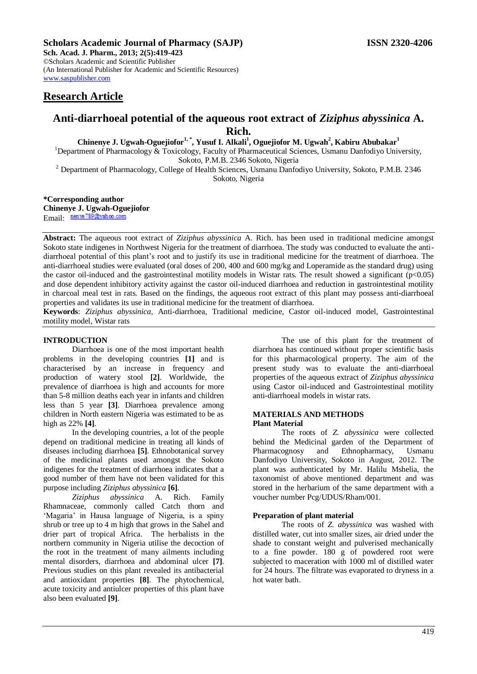### **Scholars Academic Journal of Pharmacy (SAJP) ISSN 2320-4206**

**Sch. Acad. J. Pharm., 2013; 2(5):419-423** ©Scholars Academic and Scientific Publisher (An International Publisher for Academic and Scientific Resources) [www.saspublisher.com](http://www.saspublisher.com/)

## **Research Article**

# **Anti-diarrhoeal potential of the aqueous root extract of** *Ziziphus abyssinica* **A. Rich.**

**Chinenye J. Ugwah-Oguejiofor1, \*, Yusuf I. Alkali<sup>1</sup> , Oguejiofor M. Ugwah<sup>2</sup> , Kabiru Abubakar<sup>1</sup>**

<sup>1</sup>Department of Pharmacology & Toxicology, Faculty of Pharmaceutical Sciences, Usmanu Danfodiyo University, Sokoto, P.M.B. 2346 Sokoto, Nigeria

<sup>2</sup> Department of Pharmacology, College of Health Sciences, Usmanu Danfodiyo University, Sokoto, P.M.B. 2346 Sokoto, Nigeria

**\*Corresponding author Chinenye J. Ugwah-Oguejiofor** Email: nenye789@yahoo.com

**Abstract:** The aqueous root extract of *Ziziphus abyssinica* A. Rich. has been used in traditional medicine amongst Sokoto state indigenes in Northwest Nigeria for the treatment of diarrhoea. The study was conducted to evaluate the antidiarrhoeal potential of this plant's root and to justify its use in traditional medicine for the treatment of diarrhoea. The anti-diarrhoeal studies were evaluated (oral doses of 200, 400 and 600 mg/kg and Loperamide as the standard drug) using the castor oil-induced and the gastrointestinal motility models in Wistar rats. The result showed a significant  $(p<0.05)$ and dose dependent inhibitory activity against the castor oil-induced diarrhoea and reduction in gastrointestinal motility in charcoal meal test in rats. Based on the findings, the aqueous root extract of this plant may possess anti-diarrhoeal properties and validates its use in traditional medicine for the treatment of diarrhoea.

**Keywords**: *Ziziphus abyssinica*, Anti-diarrhoea, Traditional medicine, Castor oil-induced model, Gastrointestinal motility model, Wistar rats

### **INTRODUCTION**

Diarrhoea is one of the most important health problems in the developing countries **[1]** and is characterised by an increase in frequency and production of watery stool **[2]**. Worldwide, the prevalence of diarrhoea is high and accounts for more than 5-8 million deaths each year in infants and children less than 5 year **[3]**. Diarrhoea prevalence among children in North eastern Nigeria was estimated to be as high as 22% **[4]**.

In the developing countries, a lot of the people depend on traditional medicine in treating all kinds of diseases including diarrhoea **[5]**. Ethnobotanical survey of the medicinal plants used amongst the Sokoto indigenes for the treatment of diarrhoea indicates that a good number of them have not been validated for this purpose including *Ziziphus abyssinica* **[6]**.

*Ziziphus abyssinica* A. Rich. Family Rhamnaceae, commonly called Catch thorn and 'Magaria' in Hausa language of Nigeria, is a spiny shrub or tree up to 4 m high that grows in the Sahel and drier part of tropical Africa. The herbalists in the northern community in Nigeria utilise the decoction of the root in the treatment of many ailments including mental disorders, diarrhoea and abdominal ulcer **[7]**. Previous studies on this plant revealed its antibacterial and antioxidant properties **[8]**. The phytochemical, acute toxicity and antiulcer properties of this plant have also been evaluated **[9]**.

The use of this plant for the treatment of diarrhoea has continued without proper scientific basis for this pharmacological property. The aim of the present study was to evaluate the anti-diarrhoeal properties of the aqueous extract of *Ziziphus abyssinica* using Castor oil-induced and Gastrointestinal motility anti-diarrhoeal models in wistar rats.

#### **MATERIALS AND METHODS Plant Material**

The roots of *Z. abyssinica* were collected behind the Medicinal garden of the Department of Pharmacognosy and Ethnopharmacy, Usmanu Danfodiyo University, Sokoto in August, 2012. The plant was authenticated by Mr. Halilu Mshelia, the taxonomist of above mentioned department and was stored in the herbarium of the same department with a voucher number Pcg/UDUS/Rham/001.

#### **Preparation of plant material**

The roots of *Z. abyssinica* was washed with distilled water, cut into smaller sizes, air dried under the shade to constant weight and pulverised mechanically to a fine powder. 180 g of powdered root were subjected to maceration with 1000 ml of distilled water for 24 hours. The filtrate was evaporated to dryness in a hot water bath.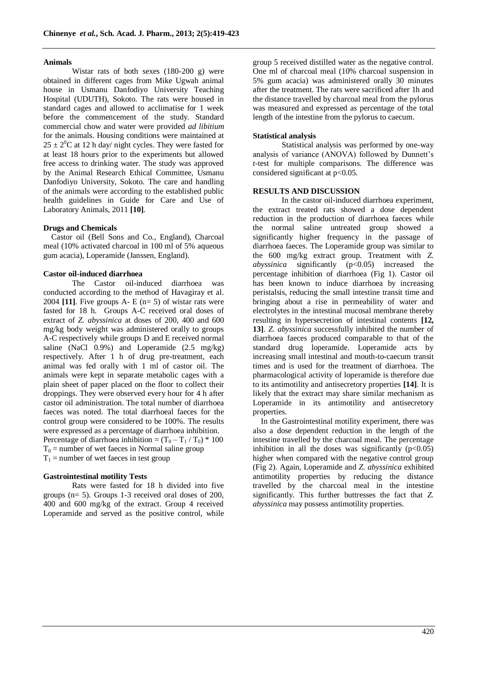#### **Animals**

Wistar rats of both sexes (180-200 g) were obtained in different cages from Mike Ugwah animal house in Usmanu Danfodiyo University Teaching Hospital (UDUTH), Sokoto. The rats were housed in standard cages and allowed to acclimatise for 1 week before the commencement of the study. Standard commercial chow and water were provided *ad libitium* for the animals. Housing conditions were maintained at  $25 \pm 2^{0}$ C at 12 h day/ night cycles. They were fasted for at least 18 hours prior to the experiments but allowed free access to drinking water. The study was approved by the Animal Research Ethical Committee, Usmanu Danfodiyo University, Sokoto. The care and handling of the animals were according to the established public health guidelines in Guide for Care and Use of Laboratory Animals, 2011 **[10]**.

#### **Drugs and Chemicals**

Castor oil (Bell Sons and Co., England), Charcoal meal (10% activated charcoal in 100 ml of 5% aqueous gum acacia), Loperamide (Janssen, England).

#### **Castor oil-induced diarrhoea**

The Castor oil-induced diarrhoea was conducted according to the method of Havagiray et al. 2004 **[11]**. Five groups A- E  $(n=5)$  of wistar rats were fasted for 18 h. Groups A-C received oral doses of extract of *Z. abyssinica* at doses of 200, 400 and 600 mg/kg body weight was administered orally to groups A-C respectively while groups D and E received normal saline (NaCl  $0.9\%$ ) and Loperamide (2.5 mg/kg) respectively. After 1 h of drug pre-treatment, each animal was fed orally with 1 ml of castor oil. The animals were kept in separate metabolic cages with a plain sheet of paper placed on the floor to collect their droppings. They were observed every hour for 4 h after castor oil administration. The total number of diarrhoea faeces was noted. The total diarrhoeal faeces for the control group were considered to be 100%. The results were expressed as a percentage of diarrhoea inhibition. Percentage of diarrhoea inhibition =  $(T_0 - T_1 / T_0) * 100$  $T_0$  = number of wet faeces in Normal saline group  $T_1$  = number of wet faeces in test group

#### **Gastrointestinal motility Tests**

Rats were fasted for 18 h divided into five groups (n= 5). Groups 1-3 received oral doses of 200, 400 and 600 mg/kg of the extract. Group 4 received Loperamide and served as the positive control, while group 5 received distilled water as the negative control. One ml of charcoal meal (10% charcoal suspension in 5% gum acacia) was administered orally 30 minutes after the treatment. The rats were sacrificed after 1h and the distance travelled by charcoal meal from the pylorus was measured and expressed as percentage of the total length of the intestine from the pylorus to caecum.

#### **Statistical analysis**

Statistical analysis was performed by one-way analysis of variance (ANOVA) followed by Dunnett's *t-*test for multiple comparisons. The difference was considered significant at p<0.05.

#### **RESULTS AND DISCUSSION**

In the castor oil-induced diarrhoea experiment, the extract treated rats showed a dose dependent reduction in the production of diarrhoea faeces while the normal saline untreated group showed a significantly higher frequency in the passage of diarrhoea faeces. The Loperamide group was similar to the 600 mg/kg extract group. Treatment with *Z. abyssinica* significantly (p<0.05) increased the percentage inhibition of diarrhoea (Fig 1). Castor oil has been known to induce diarrhoea by increasing peristalsis, reducing the small intestine transit time and bringing about a rise in permeability of water and electrolytes in the intestinal mucosal membrane thereby resulting in hypersecretion of intestinal contents **[12, 13]**. *Z. abyssinica* successfully inhibited the number of diarrhoea faeces produced comparable to that of the standard drug loperamide. Loperamide acts by increasing small intestinal and mouth-to-caecum transit times and is used for the treatment of diarrhoea. The pharmacological activity of loperamide is therefore due to its antimotility and antisecretory properties **[14]**. It is likely that the extract may share similar mechanism as Loperamide in its antimotility and antisecretory properties.

In the Gastrointestinal motility experiment, there was also a dose dependent reduction in the length of the intestine travelled by the charcoal meal. The percentage inhibition in all the doses was significantly  $(p<0.05)$ higher when compared with the negative control group (Fig 2). Again, Loperamide and *Z. abyssinica* exhibited antimotility properties by reducing the distance travelled by the charcoal meal in the intestine significantly. This further buttresses the fact that *Z. abyssinica* may possess antimotility properties.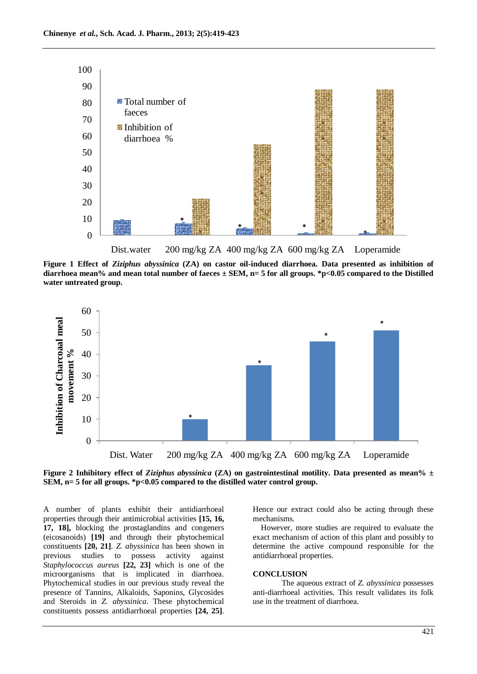

**Figure 1 Effect of** *Ziziphus abyssinica* **(ZA) on castor oil-induced diarrhoea. Data presented as inhibition of diarrhoea mean% and mean total number of faeces ± SEM, n= 5 for all groups. \*p<0.05 compared to the Distilled water untreated group.**



**Figure 2 Inhibitory effect of** *Ziziphus abyssinica* **(ZA) on gastrointestinal motility. Data presented as mean% ± SEM, n= 5 for all groups. \*p<0.05 compared to the distilled water control group.** 

A number of plants exhibit their antidiarrhoeal properties through their antimicrobial activities **[15, 16, 17, 18],** blocking the prostaglandins and congeners (eicosanoids) **[19]** and through their phytochemical constituents **[20, 21]**. *Z. abyssinica* has been shown in previous studies to possess activity against *Staphylococcus aureus* **[22, 23]** which is one of the microorganisms that is implicated in diarrhoea. Phytochemical studies in our previous study reveal the presence of Tannins, Alkaloids, Saponins, Glycosides and Steroids in *Z. abyssinica*. These phytochemical constituents possess antidiarrhoeal properties **[24, 25]**.

Hence our extract could also be acting through these mechanisms.

However, more studies are required to evaluate the exact mechanism of action of this plant and possibly to determine the active compound responsible for the antidiarrhoeal properties.

#### **CONCLUSION**

The aqueous extract of *Z. abyssinica* possesses anti-diarrhoeal activities. This result validates its folk use in the treatment of diarrhoea.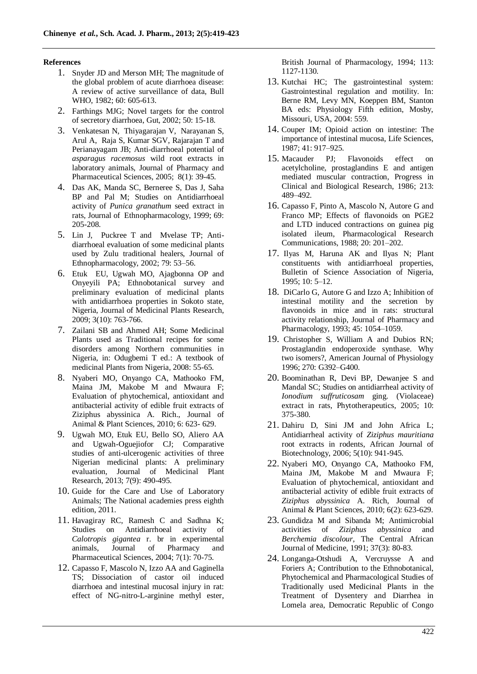### **References**

- 1. Snyder JD and Merson MH; The magnitude of the global problem of acute diarrhoea disease: A review of active surveillance of data, Bull WHO, 1982; 60: 605-613.
- 2. Farthings MJG; Novel targets for the control of secretory diarrhoea, Gut, 2002; 50: 15-18.
- 3. Venkatesan N, Thiyagarajan V, Narayanan S, Arul A, Raja S, Kumar SGV, Rajarajan T and Perianayagam JB; Anti-diarrhoeal potential of *asparagus racemosus* wild root extracts in laboratory animals, Journal of Pharmacy and Pharmaceutical Sciences, 2005; 8(1): 39-45.
- 4. Das AK, Manda SC, Berneree S, Das J, Saha BP and Pal M; Studies on Antidiarrhoeal activity of *Punica granathum* seed extract in rats, Journal of Ethnopharmacology, 1999; 69: 205-208.
- 5. Lin J, Puckree T and Mvelase TP; Antidiarrhoeal evaluation of some medicinal plants used by Zulu traditional healers, Journal of Ethnopharmacology, 2002; 79: 53–56.
- 6. Etuk EU, Ugwah MO, Ajagbonna OP and Onyeyili PA; Ethnobotanical survey and preliminary evaluation of medicinal plants with antidiarrhoea properties in Sokoto state, Nigeria, Journal of Medicinal Plants Research, 2009; 3(10): 763-766.
- 7. Zailani SB and Ahmed AH; Some Medicinal Plants used as Traditional recipes for some disorders among Northern communities in Nigeria, in: Odugbemi T ed.: A textbook of medicinal Plants from Nigeria, 2008: 55-65.
- 8. Nyaberi MO, Onyango CA, Mathooko FM, Maina JM, Makobe M and Mwaura F; Evaluation of phytochemical, antioxidant and antibacterial activity of edible fruit extracts of Ziziphus abyssinica A. Rich., Journal of Animal & Plant Sciences, 2010; 6: 623- 629.
- 9. Ugwah MO, Etuk EU, Bello SO, Aliero AA and Ugwah-Oguejiofor CJ; Comparative studies of anti-ulcerogenic activities of three Nigerian medicinal plants: A preliminary evaluation, Journal of Medicinal Plant Research, 2013; 7(9): 490-495.
- 10. Guide for the Care and Use of Laboratory Animals; The National academies press eighth edition, 2011.
- 11. Havagiray RC, Ramesh C and Sadhna K; Studies on Antidiarrhoeal activity of *Calotropis gigantea* r. br in experimental animals, Journal of Pharmacy and Pharmaceutical Sciences, 2004; 7(1): 70-75.
- 12. Capasso F, Mascolo N, Izzo AA and Gaginella TS; Dissociation of castor oil induced diarrhoea and intestinal mucosal injury in rat: effect of NG-nitro-L-arginine methyl ester,

British Journal of Pharmacology, 1994; 113: 1127-1130.

- 13. Kutchai HC; The gastrointestinal system: Gastrointestinal regulation and motility. In: Berne RM, Levy MN, Koeppen BM, Stanton BA eds: Physiology Fifth edition, Mosby, Missouri, USA, 2004: 559.
- 14. Couper IM; Opioid action on intestine: The importance of intestinal mucosa, Life Sciences, 1987; 41: 917–925.
- 15. Macauder PJ; Flavonoids effect on acetylcholine, prostaglandins E and antigen mediated muscular contraction, Progress in Clinical and Biological Research, 1986; 213: 489–492.
- 16. Capasso F, Pinto A, Mascolo N, Autore G and Franco MP; Effects of flavonoids on PGE2 and LTD induced contractions on guinea pig isolated ileum, Pharmacological Research Communications, 1988; 20: 201–202.
- 17. Ilyas M, Haruna AK and Ilyas N; Plant constituents with antidiarrhoeal properties, Bulletin of Science Association of Nigeria, 1995; 10: 5–12.
- 18. DiCarlo G, Autore G and Izzo A; Inhibition of intestinal motility and the secretion by flavonoids in mice and in rats: structural activity relationship, Journal of Pharmacy and Pharmacology, 1993; 45: 1054–1059.
- 19. Christopher S, William A and Dubios RN; Prostaglandin endoperoxide synthase. Why two isomers?, American Journal of Physiology 1996; 270: G392–G400.
- 20. Boominathan R, Devi BP, Dewanjee S and Mandal SC; Studies on antidiarrheal activity of *Ionodium suffruticosam* ging. (Violaceae) extract in rats, Phytotherapeutics, 2005; 10: 375-380.
- 21. Dahiru D, Sini JM and John Africa L; Antidiarrheal activity of *Ziziphus mauritiana*  root extracts in rodents, African Journal of Biotechnology, 2006; 5(10): 941-945.
- 22. Nyaberi MO, Onyango CA, Mathooko FM, Maina JM, Makobe M and Mwaura F; Evaluation of phytochemical, antioxidant and antibacterial activity of edible fruit extracts of *Ziziphus abyssinica* A. Rich, Journal of Animal & Plant Sciences, 2010; 6(2): 623-629.
- 23. Gundidza M and Sibanda M; Antimicrobial activities of *Ziziphus abyssinica* and *Berchemia discolour*, The Central African Journal of Medicine, 1991; 37(3): 80-83.
- 24. Longanga-Otshudi A, Vercruysse A and Foriers A; Contribution to the Ethnobotanical, Phytochemical and Pharmacological Studies of Traditionally used Medicinal Plants in the Treatment of Dysentery and Diarrhea in Lomela area, Democratic Republic of Congo